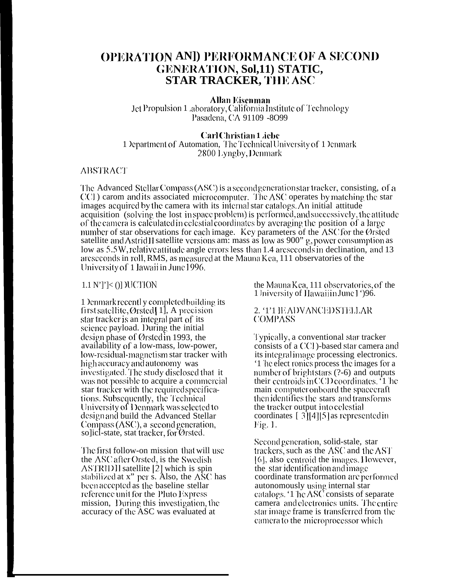# **OPERATION AND PERFORMANCE OF A SECOND** GENERATION, Sol,11) STATIC, **STAR TRACKER, THE ASC**

Allan Eisenman Jet Propulsion 1 .aboratory, California Institute of Technology Pasadena, CA 91109 -8099

#### Carl Christian 1 *i*ebe

1 Department of Automation, The Technical University of 1 Denmark 2800 Lyngby, Denmark

### **ABSTRACT**

The Advanced Stellar Compass (ASC) is a second generation star tracker, consisting, of a CCI) carom and its associated microcomputer. The ASC operates by matching the star images acquired by the camera with its internal star catalogs. An initial attitude acquisition (solving the lost inspace problem) is performed, and successively, the attitude of the camera is calculated in celestial coordinates by averaging the position of a large number of star observations for each image. Key parameters of the ASC for the Ørsted satellite and Astrid II satellite versions am: mass as low as 900"  $g$ , power consumption as low as 5.5W, relative attitude angle errors less than 1.4 arcseconds in declination, and 13 arcseconds in roll, RMS, as measured at the Mauna Kea, 111 observatories of the University of 1 Iawaii in June 1996.

#### $1.1 \text{ N'}$ ]' $\le$  ()] )UCTION

1 Denmark recently completed building its first satellite, Ørsted[1], A precision star tracker is an integral part of its science payload. During the initial design phase of Ørsted in 1993, the availability of a low-mass, low-power, low-residual-magnetism star tracker with high accuracy and autonomy was investigated. The study disclosed that it was not possible to acquire a commercial star tracker with the required specifications. Subsequently, the Technical University of Denmark was selected to design and build the Advanced Stellar Compass  $(ASC)$ , a second generation, solicl-state, stat tracker, for Ørsted.

The first follow-on mission that will use the ASC after Orsted, is the Swedish ASTRID II satellite [2] which is spin stabilized at  $x''$  per s. Also, the  $\overrightarrow{ASC}$  has<br>been accepted as the baseline stellar reference unit for the Pluto Express mission, During this investigation, the accuracy of the ASC was evaluated at

the Mauna Kea, 111 observatories, of the 1 Iniversity of Hawaiiin June 1 ')96.

#### 2. '1'1 IEADVANCED STELLAR **COMPASS**

Typically, a conventional star tracker consists of a CCI - based star camera and its integral image processing electronics. '1 he elect ronics process the images for a number of bright stars (?-6) and outputs their centroids in CCD coordinates. '1 he main computer onboard the spacecraft then identifies the stars and transforms the tracker output into celestial coordinates  $[3][4][5]$  as represented in Fig. 1.

Second generation, solid-stale, star trackers, such as the ASC and the AST [6], also centroid the images. However, the star identification and image coordinate transformation are performed autonomously using internal star<br>catalogs. '1 hc ASC consists of separate camera and electronics units. The entire star image frame is transferred from the camerato the microprocessor which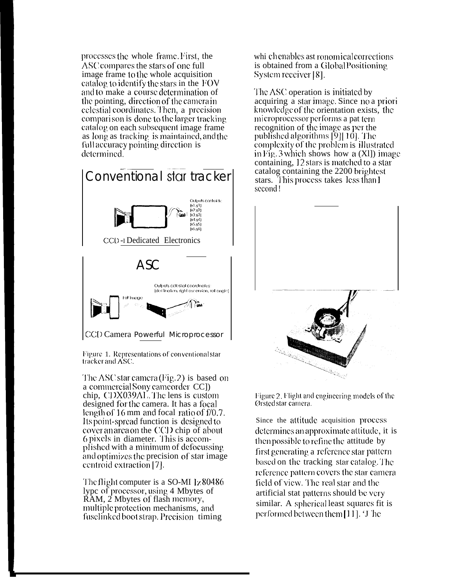processes the whole frame. First, the ASC compares the stars of one full image frame to the whole acquisition catalog to identify the stars in the  $FOV$ and to make a course determination of the pointing, direction of the camera in celestial coordinates. Then, a precision comparison is done to the larger tracking catalog on each subsequent image frame as long as tracking is maintained, and the full accuracy pointing direction is determined.



Figure 1. Representations of conventional star tracker and ASC.

The ASC star camera  $(Fig, 2)$  is based on a commercial Sony came order CC]) chip, CDX039AL. The lens is custom designed for the camera. It has a focal length of 16 mm and focal ratio of f/0.7. Its point-spread function is designed to cover an area on the CCD chip of about 6 pixels in diameter. This is accomplished with a minimum of defocussing and optimizes the precision of star image centroid extraction [7].

The flight computer is a SO-MI Iz 80486 lype of processor, using 4 Mbytes of RAM, 2 Mbytes of flash memory, multiple protection mechanisms, and fuselinked boot strap. Precision timing

whi chenables ast ronomical corrections is obtained from a Global Positioning System receiver [8].

The ASC operation is initiated by acquiring a star image. Since no a priori knowledge of the orientation exists, the microprocessor performs a pat term recognition of the image as per the published algorithms [9][10]. The complexity of the problem is illustrated in Fig. 3 which shows how a  $(X1)$  image containing, 12 stars is matched to a star catalog containing the 2200 brightest stars. This process takes less than 1 second!



Figure 2. Flight and engineering models of the Ørsted star camera.

Since the attitude acquisition process determines an approximate attitude, it is then possible to refine the attitude by first generating a reference star pattern based on the tracking star catalog. The reference pattern covers the star camera field of view. The real star and the artificial stat patterns should be very similar. A spherical least squares fit is performed between them [11]. The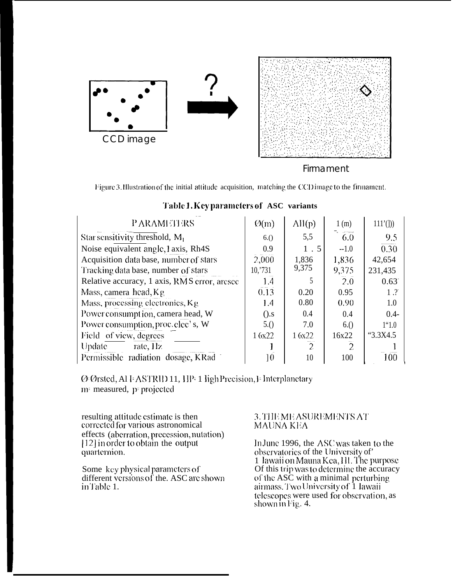

### Firmament

Figure 3.1Ilustration of the initial attitude acquisition, matching the CCD image to the firmament.

| <b>PARAMETERS</b>                            | $\varnothing(m)$ |                   |                  |                |
|----------------------------------------------|------------------|-------------------|------------------|----------------|
|                                              |                  | $\mathrm{All}(p)$ | 1(m)             | $111'$ (1))    |
| Star sensitivity threshold, $M_1$            | 6.()             | 5,5               | $\overline{6.0}$ | 9.5            |
| Noise equivalent angle, 1 axis, Rh4S         | 0.9              | 1.5               | $-1.0$           | 0.30           |
| Acquisition data base, number of stars       | 2,000            | 1,836             | 1,836            | 42,654         |
| Tracking data base, number of stars          | 10,731           | 9,375             | 9,375            | 231,435        |
| Relative accuracy, 1 axis, RMS error, arcsec | 1.4              |                   | 2.0              | 0.63           |
| Mass, camera head, $Kg$                      | 0.13             | 0.20              | 0.95             | 1.7            |
| Mass, processing electronics, Kg             | 1.4              | 0.80              | 0.90             | 1.0            |
| Power consumption, camera head, W            | $($ .s           | 0.4               | 0.4              | $0.4 -$        |
| Power consumption, proc. elec's, W           | 5.()             | 7.0               | 6.()             | $1^{\circ}1.0$ |
| Field of view, degrees                       | 16x22            | 1 6x22            | 16x22            | "3.3X4.5"      |
| Update<br>rate, Hz                           |                  | $\overline{2}$    | $\overline{2}$   |                |
| Permissible radiation dosage, KRad           | $\theta$         | 10                | 100              | 100            |

## Table 1. Key parameters of ASC variants

Ø Ørsted, Al FASTRID 11, HP- 1 ligh Precision, I- Interplanetary m measured, p projected

resulting attitude estimate is then corrected for various astronomical effects (aberration, precession, nutation)<br>[12] in order to obtain the output quarternion.

Some key physical parameters of different versions of the. ASC are shown inTable 1.

### 3. THE ME ASUREMENTS AT MAUNA KEA

In June 1996, the ASC was taken to the observatories of the University of' 1 Iawaii on Mauna Kea, III. The purpose Of this trip was to determine the accuracy of the ASC with a minimal perturbing airmass. Two University of 1 lawaii telescopes were used for observation, as shown in Fig. 4.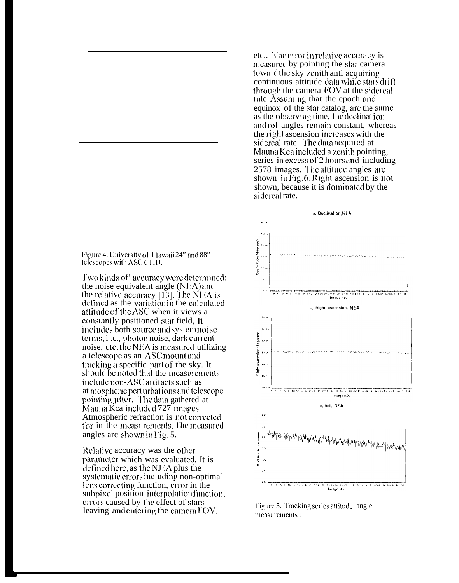

Figure 4. University of 1 lawaii 24" and 88" telescopes with ASC CHU.

Two kinds of' accuracy were determined: the noise equivalent angle  $(NEA)$  and the relative accuracy [13]. The NFA is defined as the variation in the calculated attitude of the  $\triangle$ SC when it views a constantly positioned star field, It includes both source and system noise terms, *i* .c., photon noise, dark current noise, etc. the NEA is measured utilizing a telescope as an ASC mount and tracking a specific part of the sky. It should be noted that the measurements include non- $\triangle$ SC artifacts such as at mospheric perturbations and telescope pointing jitter. The data gathered at Mauna Kca included 727 images. Atmospheric refraction is not corrected for in the measurements. The measured angles arc shown in Fig. 5.

Relative accuracy was the other parameter which was evaluated. It is defined here, as the NJ $\Delta$  plus the systematic errors including non-optimal lens correcting function, error in the subpixel position interpolation function, errors caused by the effect of stars leaving and entering the camera FOV,

etc.. The error in relative accuracy is measured by pointing the star camera toward the sky zenith anti acquiring continuous attitude data while stars drift through the camera FOV at the sidereal rate. Assuming that the epoch and equinox of the star catalog, are the same as the observing time, the declination and roll angles remain constant, whereas the right ascension increases with the sidereal rate. The data acquired at Mauna Kea included a zenith pointing, series in excess of 2 hours and including 2578 images. The attitude angles are shown in Fig. 6. Right ascension is not shown, because it is dominated by the sidereal rate.



Figure 5. Tracking series attitude angle measurements..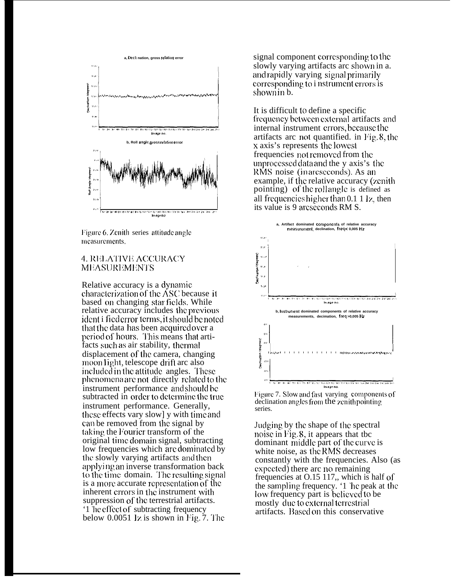

Figure 6. Zenith series attitude angle measurements.

#### **4. RELATIVE ACCURACY MEASUREMENTS**

Relative accuracy is a dynamic characterization of the ASC because it based on changing star fields. While relative accuracy includes the previous ident i fiederror terms, it should be noted that the data has been acquired over a period of hours. This means that artifacts such as air stability, thermal displacement of the camera, changing moon light, telescope drift arc also included in the attitude angles. These phenomena are not directly related to the instrument performance and should be subtracted in order to determine the true instrument performance. Generally, these effects vary slow] y with time and can be removed from the signal by taking the Fourier transform of the original time domain signal, subtracting low frequencies which are dominated by the slowly varying artifacts and then applying an inverse transformation back to the time domain. The resulting signal is a more accurate representation of the inherent crrors in the instrument with suppression of the terrestrial artifacts. '1 he effect of subtracting frequency below  $0.0051$  lz is shown in Fig. 7. The

signal component corresponding to the slowly varying artifacts are shown in a. and rapidly varying signal primarily corresponding to i nstrument errors is shown in b.

It is difficult to define a specific frequency between external artifacts and internal instrument crrors, because the artifacts are not quantified, in Fig. 8, the x axis's represents the lowest frequencies not removed from the unprocessed data and the y axis's the RMS noise (in arcseconds). As an example, if the relative accuracy (zenith) pointing) of the rollangle is defined as all frequencies higher than 0.1 1 Iz, then its value is 9 arcseconds RM S.





Judging by the shape of the spectral noise in Fig.  $\delta$ , it appears that the dominant middle part of the curve is white noise, as the RMS decreases constantly with the frequencies. Also (as expected) there are no remaining frequencies at 0.15 117, which is half of the sampling frequency. '1 he peak at the low frequency part is believed to be mostly due to external terrestrial artifacts. Based on this conservative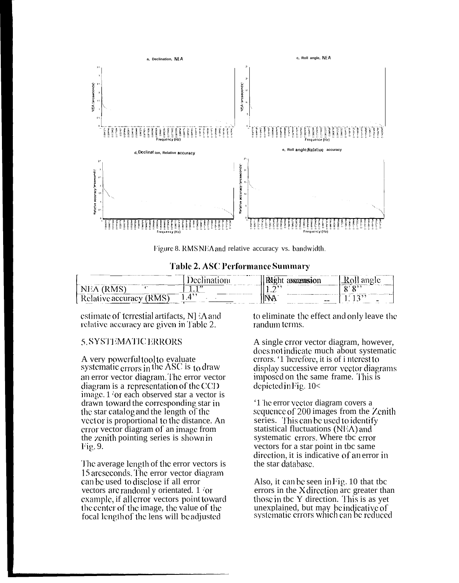

Figure 8. RMS NEA and relative accuracy vs. bandwidth.

|  |  |  | Table 2. ASC Performance Summary |  |
|--|--|--|----------------------------------|--|
|--|--|--|----------------------------------|--|

|                                                                                                                                                                                                                                             |                             | and the contract of the contract of<br>IMSIOI |                          |
|---------------------------------------------------------------------------------------------------------------------------------------------------------------------------------------------------------------------------------------------|-----------------------------|-----------------------------------------------|--------------------------|
| N A C'<br>.                                                                                                                                                                                                                                 | 1, 99                       | ⌒,,<br>---                                    | o: o>>                   |
| ימי<br>the company of the company of the company of the company of the company of the company of the company of the company of the company of the company of the company of the company of the company of the company of the company<br>$-$ | <b><i><u>PERSON</u></i></b> | $-1$<br>$- -$                                 | $\overline{\phantom{0}}$ |

estimate of terrestial artifacts, N] 'A and relative accuracy are given in Table 2.

#### 5. SYSTEMATIC ERRORS

A very powerful tool to evaluate<br>systematic errors in the ASC is to draw an error vector diagram. The error vector diagram is a representation of the  $CCD$ image. 1 'or each observed star a vector is drawn toward the corresponding star in the star catalog and the length of the vect or is proportional to the distance. An error vector diagram of an image from the zenith pointing series is shown in Fig. 9.

The average length of the error vectors is 15 arcseconds. The error vector diagram can be used to disclose if all error vectors are randomly orientated. 1 for example, if all error vectors point toward the center of the image, the value of the focal length of the lens will be adjusted

to eliminate the effect and only leave the randum terms.

A single crror vector diagram, however, does not indicate much about systematic errors. '1 herefore, it is of i nterest to display successive error vector diagrams imposed on the same frame. This is depicted in Fig.  $10<$ 

'1 he error vector diagram covers a sequence of 200 images from the Zenith series. This can be used to identify statistical fluctuations (NEA) and systematic errors. Where tbc error vectors for a star point in tbc same direction, it is indicative of an error in the star database.

Also, it can be seen in Fig. 10 that tbc errors in the X direction arc greater than those in the Y direction. This is as yet unexplained, but may be indicative of systematic errors which can be reduced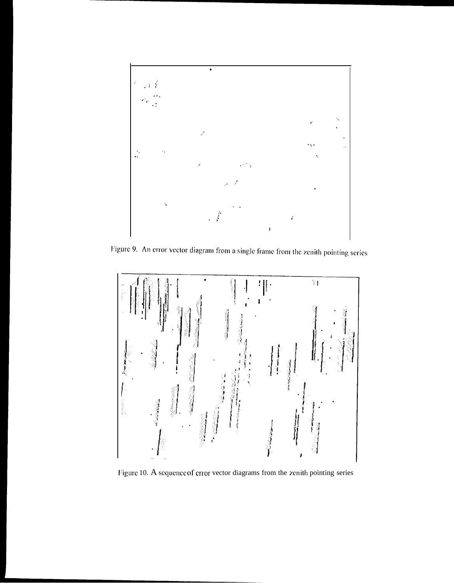

Figure 9. An error vector diagram from a single frame from the zenith pointing series



Figure 10. A sequence of error vector diagrams from the zenith pointing series